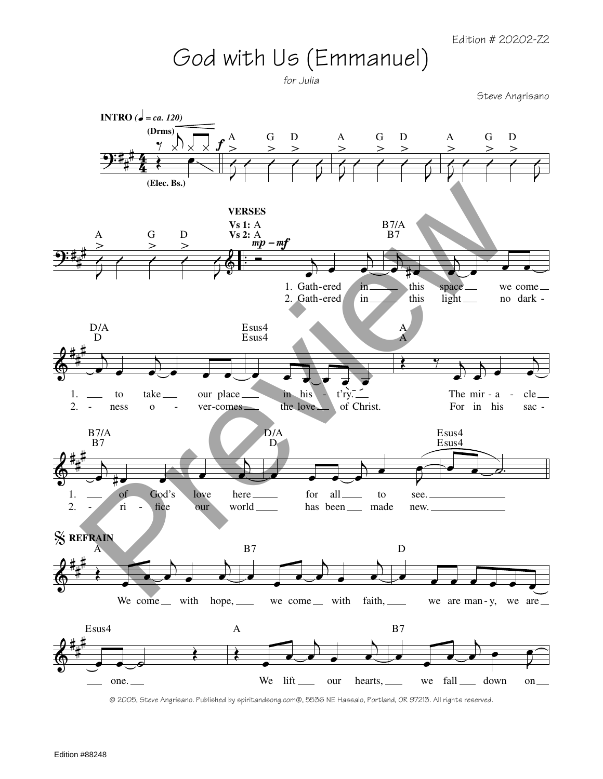## God with Us (Emmanuel)

for Julia

Steve Angrisano



<sup>© 2005,</sup> Steve Angrisano. Published by spiritandsong.com®, 5536 NE Hassalo, Portland, OR 97213. All rights reserved.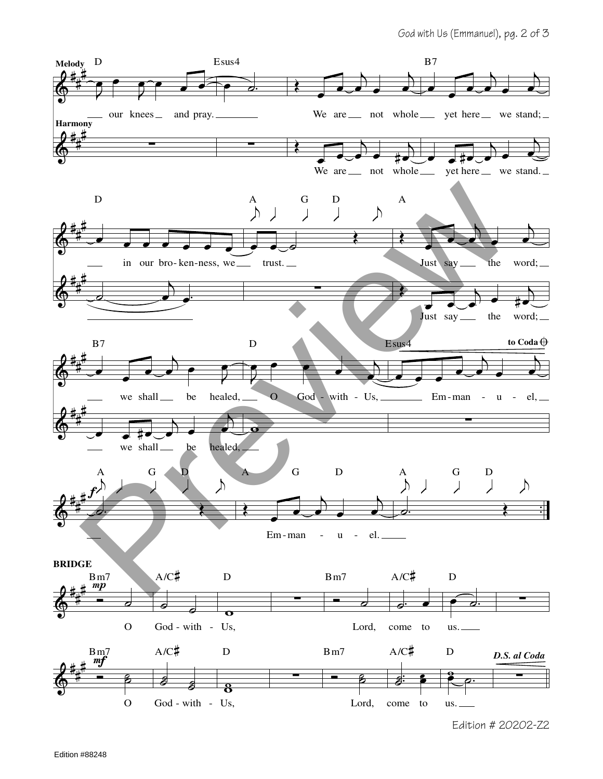

Edition # 20202-Z2